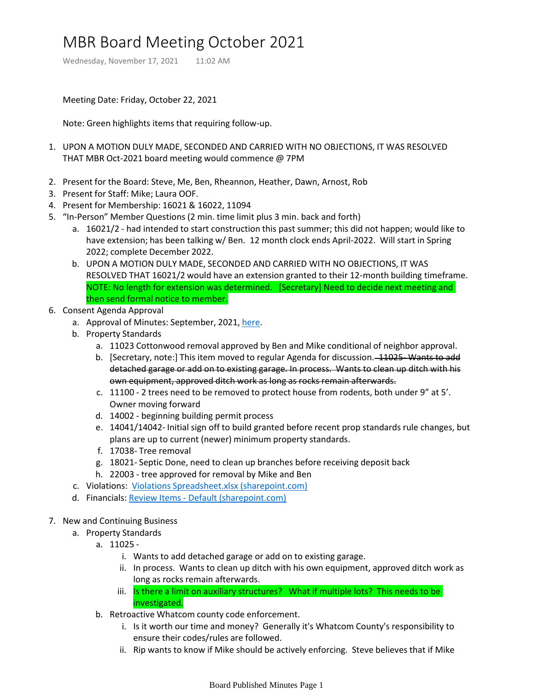## MBR Board Meeting October 2021

Wednesday, November 17, 2021 11:02 AM

Meeting Date: Friday, October 22, 2021

Note: Green highlights items that requiring follow-up.

- 1. UPON A MOTION DULY MADE, SECONDED AND CARRIED WITH NO OBJECTIONS, IT WAS RESOLVED THAT MBR Oct-2021 board meeting would commence @ 7PM
- 2. Present for the Board: Steve, Me, Ben, Rheannon, Heather, Dawn, Arnost, Rob
- 3. Present for Staff: Mike; Laura OOF.
- 4. Present for Membership: 16021 & 16022, 11094
- 5. "In-Person" Member Questions (2 min. time limit plus 3 min. back and forth)
	- a. 16021/2 had intended to start construction this past summer; this did not happen; would like to have extension; has been talking w/ Ben. 12 month clock ends April-2022. Will start in Spring 2022; complete December 2022.
	- UPON A MOTION DULY MADE, SECONDED AND CARRIED WITH NO OBJECTIONS, IT WAS b. RESOLVED THAT 16021/2 would have an extension granted to their 12-month building timeframe. NOTE: No length for extension was determined. [Secretary] Need to decide next meeting and then send formal notice to member.
- 6. Consent Agenda Approval
	- a. Approval of Minutes: September, 2021, [here.](onenote:Board%20Published%20Minutes.one#MBR%20Board%20Meeting%20September%202021§ion-id={0DB4B39E-9E2E-4A3A-BBBB-5153A31F305F}&page-id={1552E0E0-CB3E-4AD6-B07B-E2934B886518}&end&base-path=https://mtbakerrim.sharepoint.com/sites/mbr_board_only/SiteAssets/MBR_BOARD_ONLY_GROUP%20Notebook)
	- b. Property Standards
		- a. 11023 Cottonwood removal approved by Ben and Mike conditional of neighbor approval.
		- b. [Secretary, note:] This item moved to regular Agenda for discussion. 11025 Wants to add detached garage or add on to existing garage. In process. Wants to clean up ditch with his own equipment, approved ditch work as long as rocks remain afterwards.
		- 11100 2 trees need to be removed to protect house from rodents, both under 9" at 5'. c. Owner moving forward
		- d. 14002 beginning building permit process
		- e. 14041/14042- Initial sign off to build granted before recent prop standards rule changes, but plans are up to current (newer) minimum property standards.
		- f. 17038- Tree removal
		- g. 18021- Septic Done, need to clean up branches before receiving deposit back
		- h. 22003 tree approved for removal by Mike and Ben
	- c. Violations: [Violations Spreadsheet.xlsx \(sharepoint.com\)](https://mtbakerrim-my.sharepoint.com/:x:/p/heather_violations/EX8zsIRpCxtAs5gmtXz0J5EBflf5JlMqS9ssVsYAZIy56w?e=N9M4um)
	- d. Financials: Review Items [Default \(sharepoint.com\)](https://mtbakerrim.sharepoint.com/sites/mbrboard/ReviewItems/AllItems.aspx?RootFolder=%2Fsites%2Fmbrboard%2FShared%20Documents%2FFINANCIALS%2F2021%20Monthly%20Financials&FolderCTID=0x012000B6AE82B15273DD48A386BCF4CF69FE3D&View=%7BF3330C0A%2DC1EA%2D4758%2D8FF7%2D6FB14D754F39%7D)
- 7. New and Continuing Business
	- a. Property Standards
		- 11025 a.
			- i. Wants to add detached garage or add on to existing garage.
			- ii. In process. Wants to clean up ditch with his own equipment, approved ditch work as long as rocks remain afterwards.
			- iii. Is there a limit on auxiliary structures? What if multiple lots? This needs to be investigated.
		- b. Retroactive Whatcom county code enforcement.
			- i. Is it worth our time and money? Generally it's Whatcom County's responsibility to ensure their codes/rules are followed.
			- ii. Rip wants to know if Mike should be actively enforcing. Steve believes that if Mike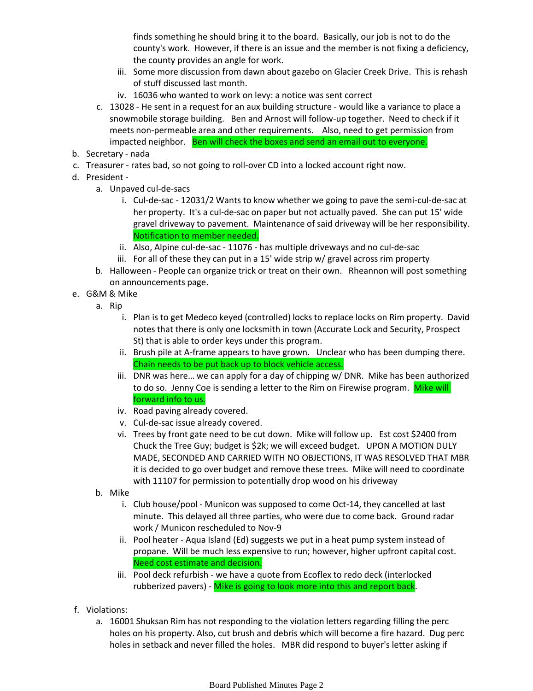finds something he should bring it to the board. Basically, our job is not to do the county's work. However, if there is an issue and the member is not fixing a deficiency, the county provides an angle for work.

- iii. Some more discussion from dawn about gazebo on Glacier Creek Drive. This is rehash of stuff discussed last month.
- iv. 16036 who wanted to work on levy: a notice was sent correct
- c. 13028 He sent in a request for an aux building structure would like a variance to place a snowmobile storage building. Ben and Arnost will follow-up together. Need to check if it meets non-permeable area and other requirements. Also, need to get permission from impacted neighbor. Ben will check the boxes and send an email out to everyone.
- b. Secretary nada
- c. Treasurer rates bad, so not going to roll-over CD into a locked account right now.
- d. President -
	- Unpaved cul-de-sacs a.
		- i. Cul-de-sac 12031/2 Wants to know whether we going to pave the semi-cul-de-sac at her property. It's a cul-de-sac on paper but not actually paved. She can put 15' wide gravel driveway to pavement. Maintenance of said driveway will be her responsibility. Notification to member needed.
		- ii. Also, Alpine cul-de-sac 11076 has multiple driveways and no cul-de-sac
		- iii. For all of these they can put in a 15' wide strip w/ gravel across rim property
	- b. Halloween People can organize trick or treat on their own. Rheannon will post something on announcements page.
- G&M & Mike e.
	- a. Rip
		- Plan is to get Medeco keyed (controlled) locks to replace locks on Rim property. David i. notes that there is only one locksmith in town (Accurate Lock and Security, Prospect St) that is able to order keys under this program.
		- ii. Brush pile at A-frame appears to have grown. Unclear who has been dumping there. Chain needs to be put back up to block vehicle access.
		- iii. DNR was here... we can apply for a day of chipping w/ DNR. Mike has been authorized to do so. Jenny Coe is sending a letter to the Rim on Firewise program. Mike will forward info to us.
		- iv. Road paving already covered.
		- v. Cul-de-sac issue already covered.
		- vi. Trees by front gate need to be cut down. Mike will follow up. Est cost \$2400 from Chuck the Tree Guy; budget is \$2k; we will exceed budget. UPON A MOTION DULY MADE, SECONDED AND CARRIED WITH NO OBJECTIONS, IT WAS RESOLVED THAT MBR it is decided to go over budget and remove these trees. Mike will need to coordinate with 11107 for permission to potentially drop wood on his driveway
	- b. Mike
		- i. Club house/pool Municon was supposed to come Oct-14, they cancelled at last minute. This delayed all three parties, who were due to come back. Ground radar work / Municon rescheduled to Nov-9
		- ii. Pool heater Aqua Island (Ed) suggests we put in a heat pump system instead of propane. Will be much less expensive to run; however, higher upfront capital cost. Need cost estimate and decision.
		- iii. Pool deck refurbish we have a quote from Ecoflex to redo deck (interlocked rubberized pavers) - Mike is going to look more into this and report back.
- Violations: f.
	- a. 16001 Shuksan Rim has not responding to the violation letters regarding filling the perc holes on his property. Also, cut brush and debris which will become a fire hazard. Dug perc holes in setback and never filled the holes. MBR did respond to buyer's letter asking if